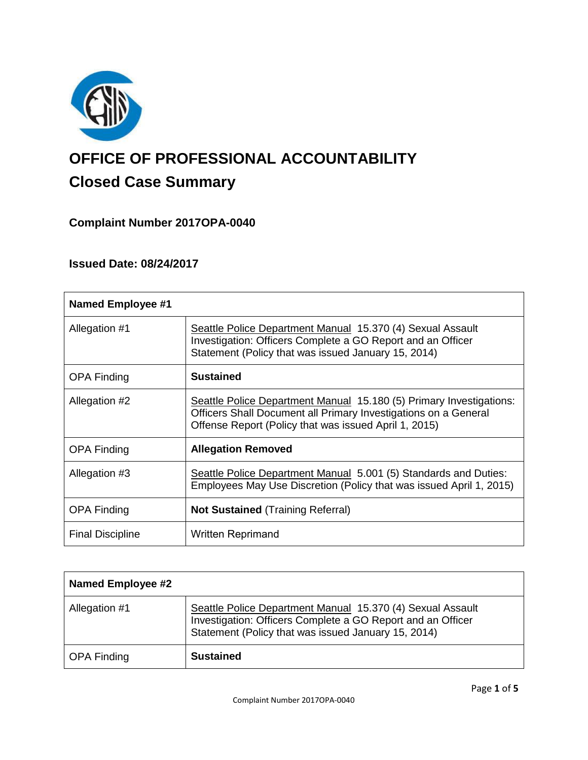

# **OFFICE OF PROFESSIONAL ACCOUNTABILITY Closed Case Summary**

# **Complaint Number 2017OPA-0040**

# **Issued Date: 08/24/2017**

| <b>Named Employee #1</b> |                                                                                                                                                                                                 |
|--------------------------|-------------------------------------------------------------------------------------------------------------------------------------------------------------------------------------------------|
| Allegation #1            | Seattle Police Department Manual 15.370 (4) Sexual Assault<br>Investigation: Officers Complete a GO Report and an Officer<br>Statement (Policy that was issued January 15, 2014)                |
| OPA Finding              | <b>Sustained</b>                                                                                                                                                                                |
| Allegation #2            | Seattle Police Department Manual 15.180 (5) Primary Investigations:<br>Officers Shall Document all Primary Investigations on a General<br>Offense Report (Policy that was issued April 1, 2015) |
| <b>OPA Finding</b>       | <b>Allegation Removed</b>                                                                                                                                                                       |
| Allegation #3            | Seattle Police Department Manual 5.001 (5) Standards and Duties:<br>Employees May Use Discretion (Policy that was issued April 1, 2015)                                                         |
| <b>OPA Finding</b>       | <b>Not Sustained (Training Referral)</b>                                                                                                                                                        |
| <b>Final Discipline</b>  | <b>Written Reprimand</b>                                                                                                                                                                        |

| <b>Named Employee #2</b> |                                                                                                                                                                                  |
|--------------------------|----------------------------------------------------------------------------------------------------------------------------------------------------------------------------------|
| Allegation #1            | Seattle Police Department Manual 15.370 (4) Sexual Assault<br>Investigation: Officers Complete a GO Report and an Officer<br>Statement (Policy that was issued January 15, 2014) |
| <b>OPA Finding</b>       | <b>Sustained</b>                                                                                                                                                                 |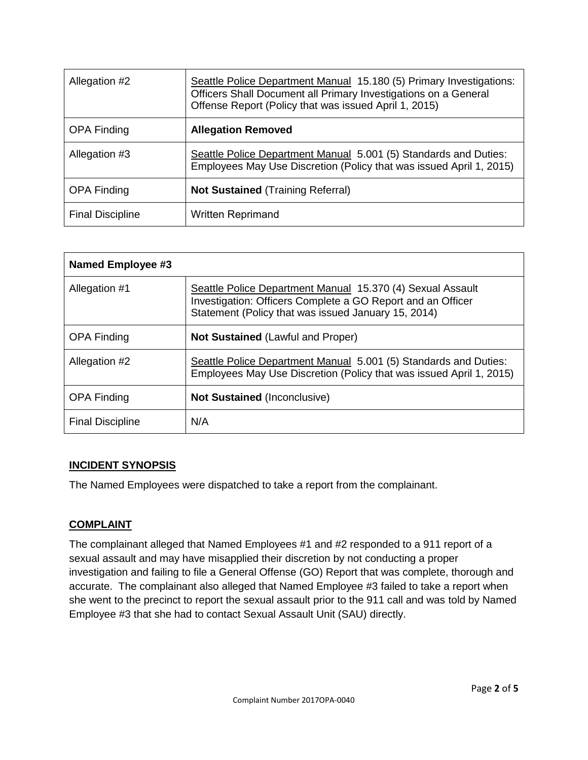| Allegation #2           | Seattle Police Department Manual 15.180 (5) Primary Investigations:<br>Officers Shall Document all Primary Investigations on a General<br>Offense Report (Policy that was issued April 1, 2015) |
|-------------------------|-------------------------------------------------------------------------------------------------------------------------------------------------------------------------------------------------|
| <b>OPA Finding</b>      | <b>Allegation Removed</b>                                                                                                                                                                       |
| Allegation #3           | Seattle Police Department Manual 5.001 (5) Standards and Duties:<br>Employees May Use Discretion (Policy that was issued April 1, 2015)                                                         |
| <b>OPA Finding</b>      | <b>Not Sustained (Training Referral)</b>                                                                                                                                                        |
| <b>Final Discipline</b> | <b>Written Reprimand</b>                                                                                                                                                                        |

| Named Employee #3       |                                                                                                                                                                                  |
|-------------------------|----------------------------------------------------------------------------------------------------------------------------------------------------------------------------------|
| Allegation #1           | Seattle Police Department Manual 15.370 (4) Sexual Assault<br>Investigation: Officers Complete a GO Report and an Officer<br>Statement (Policy that was issued January 15, 2014) |
| <b>OPA Finding</b>      | <b>Not Sustained (Lawful and Proper)</b>                                                                                                                                         |
| Allegation #2           | Seattle Police Department Manual 5.001 (5) Standards and Duties:<br>Employees May Use Discretion (Policy that was issued April 1, 2015)                                          |
| <b>OPA Finding</b>      | <b>Not Sustained (Inconclusive)</b>                                                                                                                                              |
| <b>Final Discipline</b> | N/A                                                                                                                                                                              |

#### **INCIDENT SYNOPSIS**

The Named Employees were dispatched to take a report from the complainant.

# **COMPLAINT**

The complainant alleged that Named Employees #1 and #2 responded to a 911 report of a sexual assault and may have misapplied their discretion by not conducting a proper investigation and failing to file a General Offense (GO) Report that was complete, thorough and accurate. The complainant also alleged that Named Employee #3 failed to take a report when she went to the precinct to report the sexual assault prior to the 911 call and was told by Named Employee #3 that she had to contact Sexual Assault Unit (SAU) directly.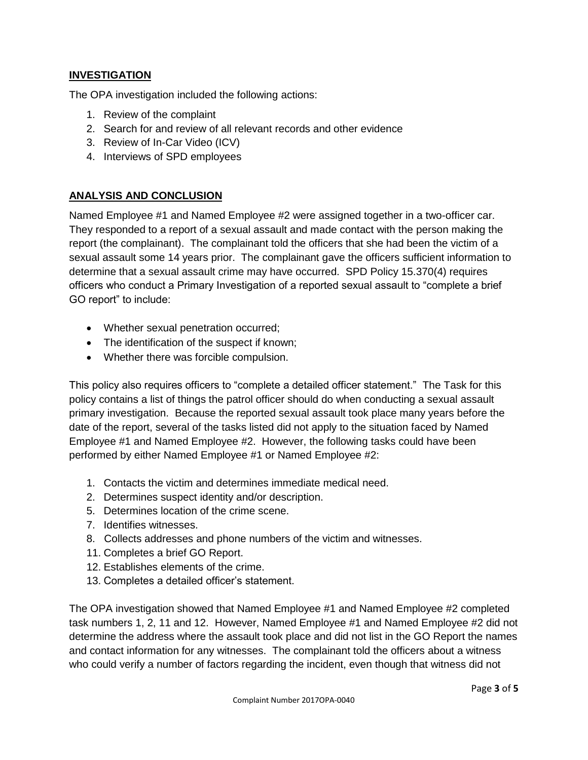# **INVESTIGATION**

The OPA investigation included the following actions:

- 1. Review of the complaint
- 2. Search for and review of all relevant records and other evidence
- 3. Review of In-Car Video (ICV)
- 4. Interviews of SPD employees

## **ANALYSIS AND CONCLUSION**

Named Employee #1 and Named Employee #2 were assigned together in a two-officer car. They responded to a report of a sexual assault and made contact with the person making the report (the complainant). The complainant told the officers that she had been the victim of a sexual assault some 14 years prior. The complainant gave the officers sufficient information to determine that a sexual assault crime may have occurred. SPD Policy 15.370(4) requires officers who conduct a Primary Investigation of a reported sexual assault to "complete a brief GO report" to include:

- Whether sexual penetration occurred;
- The identification of the suspect if known;
- Whether there was forcible compulsion.

This policy also requires officers to "complete a detailed officer statement." The Task for this policy contains a list of things the patrol officer should do when conducting a sexual assault primary investigation. Because the reported sexual assault took place many years before the date of the report, several of the tasks listed did not apply to the situation faced by Named Employee #1 and Named Employee #2. However, the following tasks could have been performed by either Named Employee #1 or Named Employee #2:

- 1. Contacts the victim and determines immediate medical need.
- 2. Determines suspect identity and/or description.
- 5. Determines location of the crime scene.
- 7. Identifies witnesses.
- 8. Collects addresses and phone numbers of the victim and witnesses.
- 11. Completes a brief GO Report.
- 12. Establishes elements of the crime.
- 13. Completes a detailed officer's statement.

The OPA investigation showed that Named Employee #1 and Named Employee #2 completed task numbers 1, 2, 11 and 12. However, Named Employee #1 and Named Employee #2 did not determine the address where the assault took place and did not list in the GO Report the names and contact information for any witnesses. The complainant told the officers about a witness who could verify a number of factors regarding the incident, even though that witness did not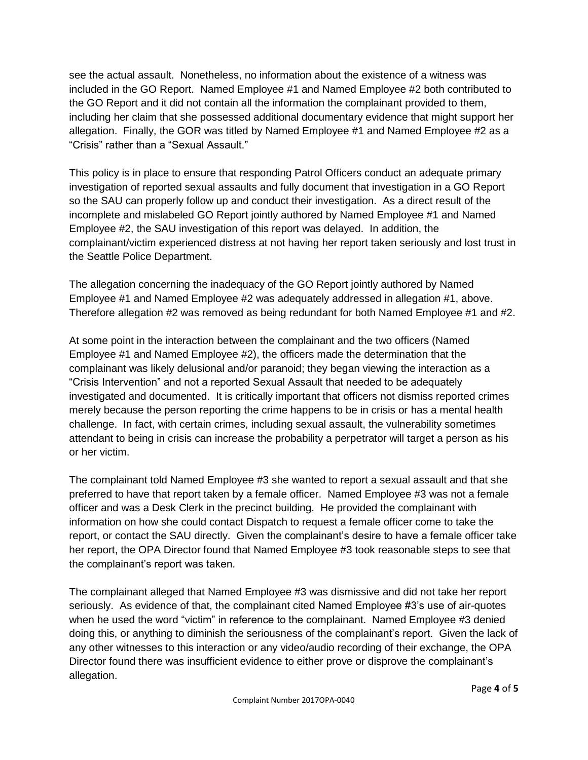see the actual assault. Nonetheless, no information about the existence of a witness was included in the GO Report. Named Employee #1 and Named Employee #2 both contributed to the GO Report and it did not contain all the information the complainant provided to them, including her claim that she possessed additional documentary evidence that might support her allegation. Finally, the GOR was titled by Named Employee #1 and Named Employee #2 as a "Crisis" rather than a "Sexual Assault."

This policy is in place to ensure that responding Patrol Officers conduct an adequate primary investigation of reported sexual assaults and fully document that investigation in a GO Report so the SAU can properly follow up and conduct their investigation. As a direct result of the incomplete and mislabeled GO Report jointly authored by Named Employee #1 and Named Employee #2, the SAU investigation of this report was delayed. In addition, the complainant/victim experienced distress at not having her report taken seriously and lost trust in the Seattle Police Department.

The allegation concerning the inadequacy of the GO Report jointly authored by Named Employee #1 and Named Employee #2 was adequately addressed in allegation #1, above. Therefore allegation #2 was removed as being redundant for both Named Employee #1 and #2.

At some point in the interaction between the complainant and the two officers (Named Employee #1 and Named Employee #2), the officers made the determination that the complainant was likely delusional and/or paranoid; they began viewing the interaction as a "Crisis Intervention" and not a reported Sexual Assault that needed to be adequately investigated and documented. It is critically important that officers not dismiss reported crimes merely because the person reporting the crime happens to be in crisis or has a mental health challenge. In fact, with certain crimes, including sexual assault, the vulnerability sometimes attendant to being in crisis can increase the probability a perpetrator will target a person as his or her victim.

The complainant told Named Employee #3 she wanted to report a sexual assault and that she preferred to have that report taken by a female officer. Named Employee #3 was not a female officer and was a Desk Clerk in the precinct building. He provided the complainant with information on how she could contact Dispatch to request a female officer come to take the report, or contact the SAU directly. Given the complainant's desire to have a female officer take her report, the OPA Director found that Named Employee #3 took reasonable steps to see that the complainant's report was taken.

The complainant alleged that Named Employee #3 was dismissive and did not take her report seriously. As evidence of that, the complainant cited Named Employee #3's use of air-quotes when he used the word "victim" in reference to the complainant. Named Employee #3 denied doing this, or anything to diminish the seriousness of the complainant's report. Given the lack of any other witnesses to this interaction or any video/audio recording of their exchange, the OPA Director found there was insufficient evidence to either prove or disprove the complainant's allegation.